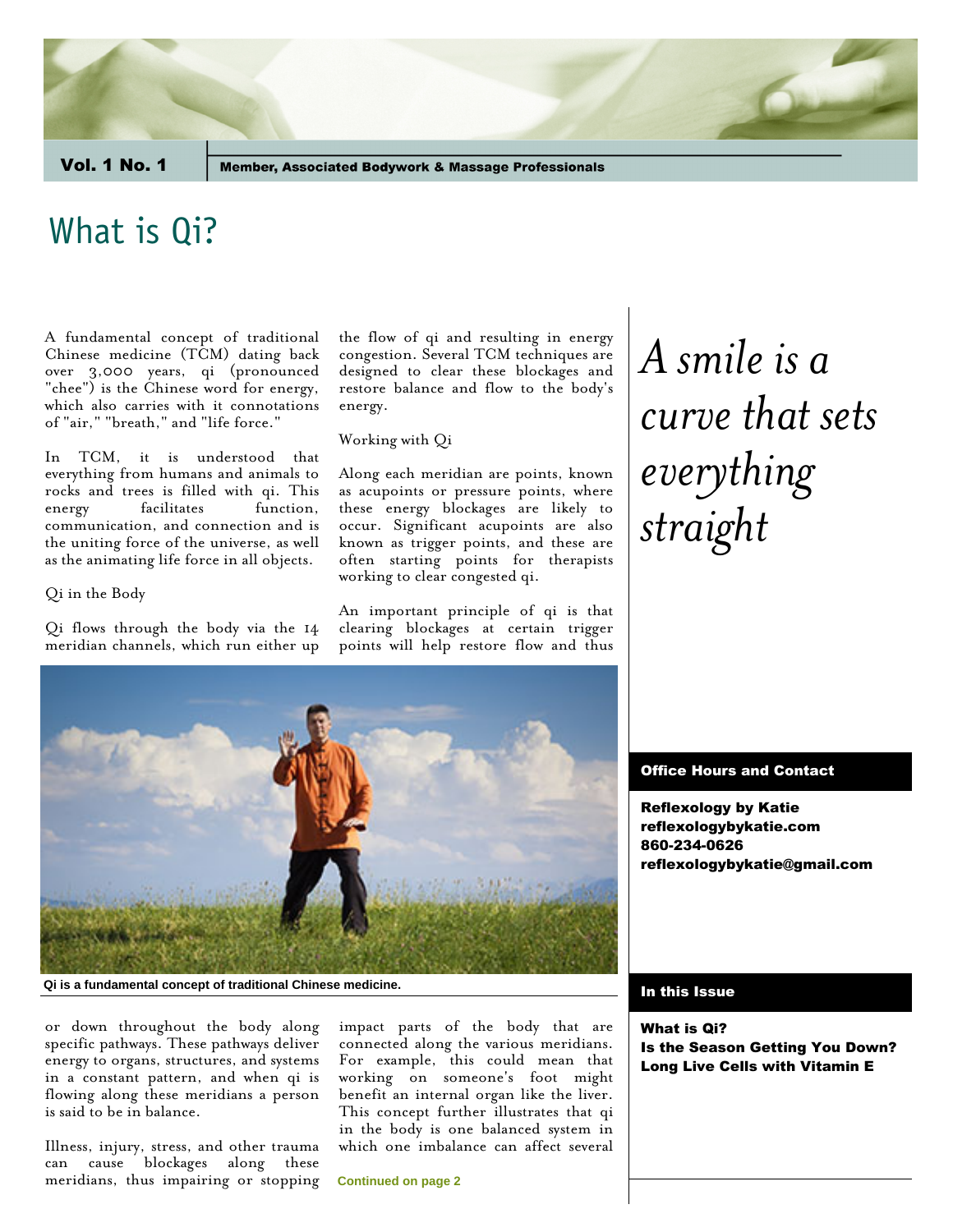Vol. 1 No. 1

**Member, Associated Bodywork & Massage Professionals** 

### What is Qi?

A fundamental concept of traditional Chinese medicine (TCM) dating back over 3,000 years, qi (pronounced "chee") is the Chinese word for energy, which also carries with it connotations of "air," "breath," and "life force."

In TCM, it is understood that everything from humans and animals to rocks and trees is filled with qi. This energy facilitates function, communication, and connection and is the uniting force of the universe, as well as the animating life force in all objects.

Qi in the Body

Qi flows through the body via the 14 meridian channels, which run either up the flow of qi and resulting in energy congestion. Several TCM techniques are designed to clear these blockages and restore balance and flow to the body's energy.

#### Working with Qi

Along each meridian are points, known as acupoints or pressure points, where these energy blockages are likely to occur. Significant acupoints are also known as trigger points, and these are often starting points for therapists working to clear congested qi.

An important principle of qi is that clearing blockages at certain trigger points will help restore flow and thus

# *A smile is a curve that sets everything straight*



#### **Qi is a fundamental concept of traditional Chinese medicine.**

or down throughout the body along specific pathways. These pathways deliver energy to organs, structures, and systems in a constant pattern, and when qi is flowing along these meridians a person is said to be in balance.

Illness, injury, stress, and other trauma can cause blockages along these meridians, thus impairing or stopping impact parts of the body that are connected along the various meridians. For example, this could mean that working on someone's foot might benefit an internal organ like the liver. This concept further illustrates that qi in the body is one balanced system in which one imbalance can affect several

**Continued on page 2**

#### Office Hours and Contact

Reflexology by Katie reflexologybykatie.com 860-234-0626 reflexologybykatie@gmail.com

#### In this Issue

What is Qi? Is the Season Getting You Down? Long Live Cells with Vitamin E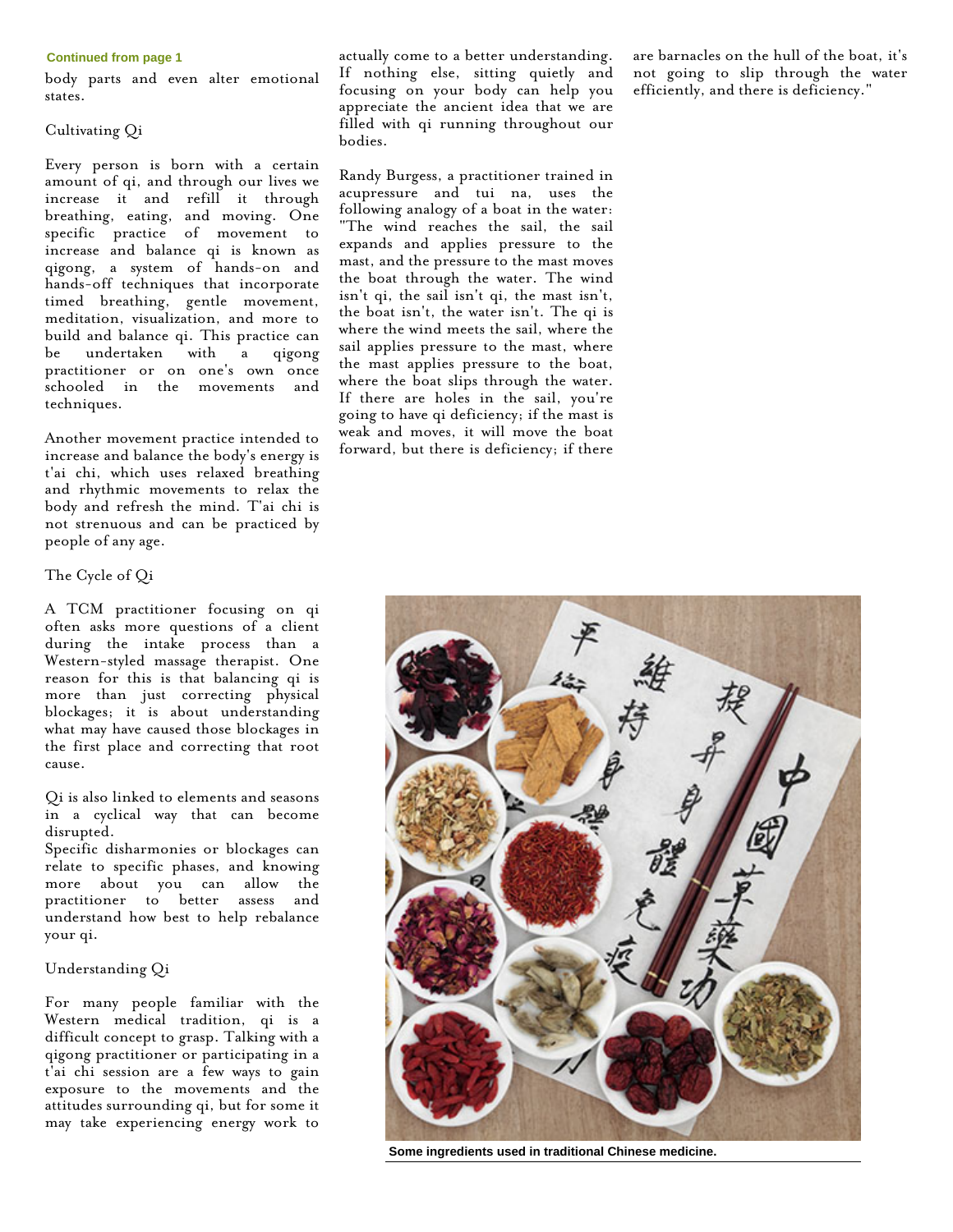#### **Continued from page 1**

body parts and even alter emotional states.

#### Cultivating Qi

Every person is born with a certain amount of qi, and through our lives we increase it and refill it through breathing, eating, and moving. One specific practice of movement to increase and balance qi is known as qigong, a system of hands-on and hands-off techniques that incorporate timed breathing, gentle movement, meditation, visualization, and more to build and balance qi. This practice can be undertaken with a qigong practitioner or on one's own once schooled in the movements and techniques.

Another movement practice intended to increase and balance the body's energy is t'ai chi, which uses relaxed breathing and rhythmic movements to relax the body and refresh the mind. T'ai chi is not strenuous and can be practiced by people of any age.

#### The Cycle of Qi

A TCM practitioner focusing on qi often asks more questions of a client during the intake process than a Western-styled massage therapist. One reason for this is that balancing qi is more than just correcting physical blockages; it is about understanding what may have caused those blockages in the first place and correcting that root cause.

Qi is also linked to elements and seasons in a cyclical way that can become disrupted.

Specific disharmonies or blockages can relate to specific phases, and knowing more about you can allow the practitioner to better assess and understand how best to help rebalance your qi.

#### Understanding Qi

For many people familiar with the Western medical tradition, qi is a difficult concept to grasp. Talking with a qigong practitioner or participating in a t'ai chi session are a few ways to gain exposure to the movements and the attitudes surrounding qi, but for some it may take experiencing energy work to

actually come to a better understanding. If nothing else, sitting quietly and focusing on your body can help you appreciate the ancient idea that we are filled with qi running throughout our bodies.

Randy Burgess, a practitioner trained in acupressure and tui na, uses the following analogy of a boat in the water: "The wind reaches the sail, the sail expands and applies pressure to the mast, and the pressure to the mast moves the boat through the water. The wind isn't qi, the sail isn't qi, the mast isn't, the boat isn't, the water isn't. The qi is where the wind meets the sail, where the sail applies pressure to the mast, where the mast applies pressure to the boat, where the boat slips through the water. If there are holes in the sail, you're going to have qi deficiency; if the mast is weak and moves, it will move the boat forward, but there is deficiency; if there

are barnacles on the hull of the boat, it's not going to slip through the water efficiently, and there is deficiency."



**Some ingredients used in traditional Chinese medicine.**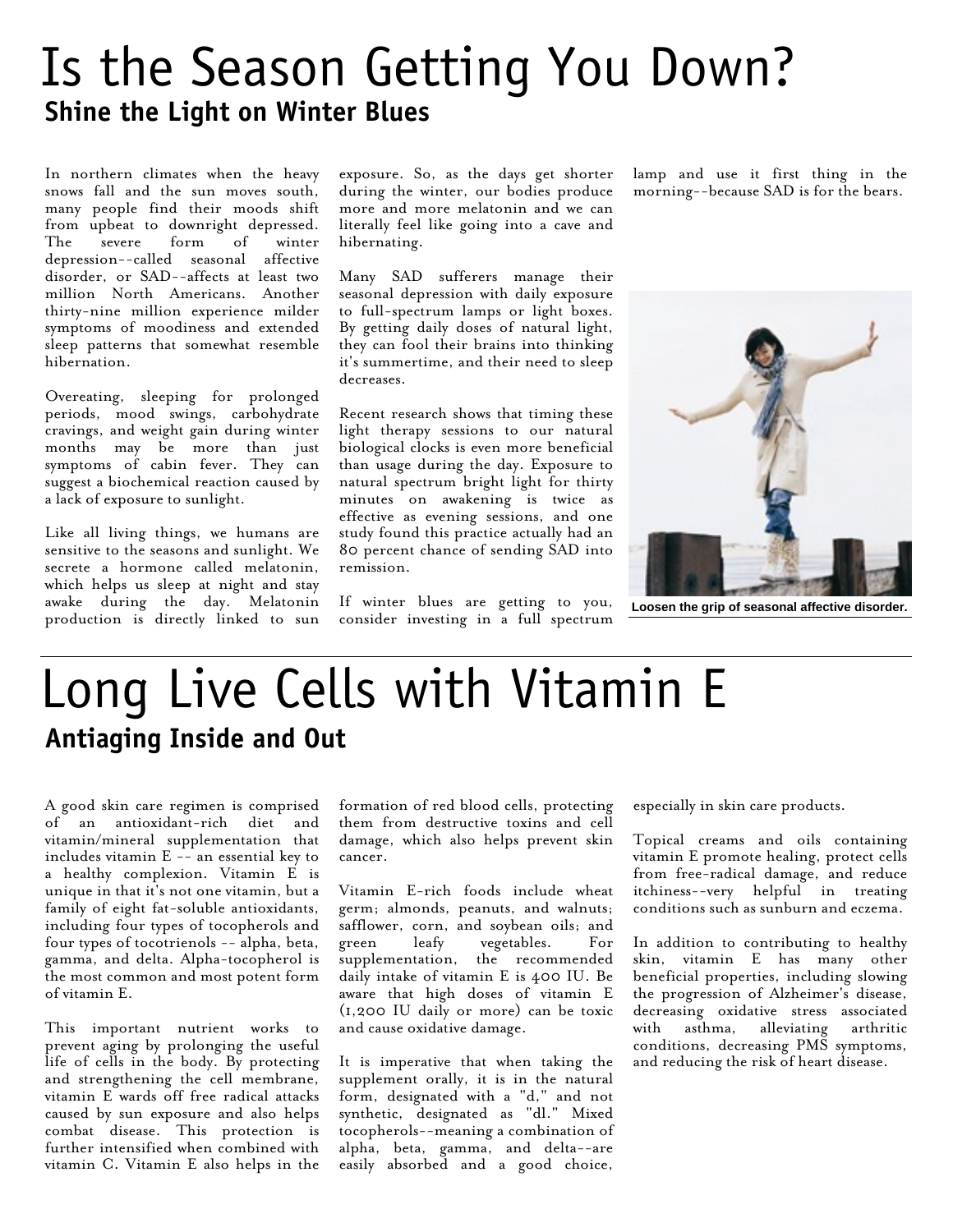### Is the Season Getting You Down? **Shine the Light on Winter Blues**

In northern climates when the heavy snows fall and the sun moves south, many people find their moods shift from upbeat to downright depressed. The severe form of winter depression--called seasonal affective disorder, or SAD--affects at least two million North Americans. Another thirty-nine million experience milder symptoms of moodiness and extended sleep patterns that somewhat resemble hibernation.

Overeating, sleeping for prolonged periods, mood swings, carbohydrate cravings, and weight gain during winter months may be more than just symptoms of cabin fever. They can suggest a biochemical reaction caused by a lack of exposure to sunlight.

Like all living things, we humans are sensitive to the seasons and sunlight. We secrete a hormone called melatonin, which helps us sleep at night and stay awake during the day. Melatonin production is directly linked to sun exposure. So, as the days get shorter during the winter, our bodies produce more and more melatonin and we can literally feel like going into a cave and hibernating.

Many SAD sufferers manage their seasonal depression with daily exposure to full-spectrum lamps or light boxes. By getting daily doses of natural light, they can fool their brains into thinking it's summertime, and their need to sleep decreases.

Recent research shows that timing these light therapy sessions to our natural biological clocks is even more beneficial than usage during the day. Exposure to natural spectrum bright light for thirty minutes on awakening is twice as effective as evening sessions, and one study found this practice actually had an 80 percent chance of sending SAD into remission.

If winter blues are getting to you, consider investing in a full spectrum lamp and use it first thing in the morning--because SAD is for the bears.



**Loosen the grip of seasonal affective disorder.**

## Long Live Cells with Vitamin E **Antiaging Inside and Out**

A good skin care regimen is comprised of an antioxidant-rich diet and vitamin/mineral supplementation that includes vitamin  $E$  -- an essential key to a healthy complexion. Vitamin E is unique in that it's not one vitamin, but a family of eight fat-soluble antioxidants, including four types of tocopherols and four types of tocotrienols -- alpha, beta, gamma, and delta. Alpha-tocopherol is the most common and most potent form of vitamin E.

This important nutrient works to prevent aging by prolonging the useful life of cells in the body. By protecting and strengthening the cell membrane, vitamin E wards off free radical attacks caused by sun exposure and also helps combat disease. This protection is further intensified when combined with vitamin C. Vitamin E also helps in the formation of red blood cells, protecting them from destructive toxins and cell damage, which also helps prevent skin cancer.

Vitamin E-rich foods include wheat germ; almonds, peanuts, and walnuts; safflower, corn, and soybean oils; and green leafy vegetables. For supplementation, the recommended daily intake of vitamin E is 400 IU. Be aware that high doses of vitamin E (1,200 IU daily or more) can be toxic and cause oxidative damage.

It is imperative that when taking the supplement orally, it is in the natural form, designated with a "d," and not synthetic, designated as "dl." Mixed tocopherols--meaning a combination of alpha, beta, gamma, and delta--are easily absorbed and a good choice,

especially in skin care products.

Topical creams and oils containing vitamin E promote healing, protect cells from free-radical damage, and reduce itchiness--very helpful in treating conditions such as sunburn and eczema.

In addition to contributing to healthy skin, vitamin E has many other beneficial properties, including slowing the progression of Alzheimer's disease, decreasing oxidative stress associated with asthma, alleviating arthritic conditions, decreasing PMS symptoms, and reducing the risk of heart disease.